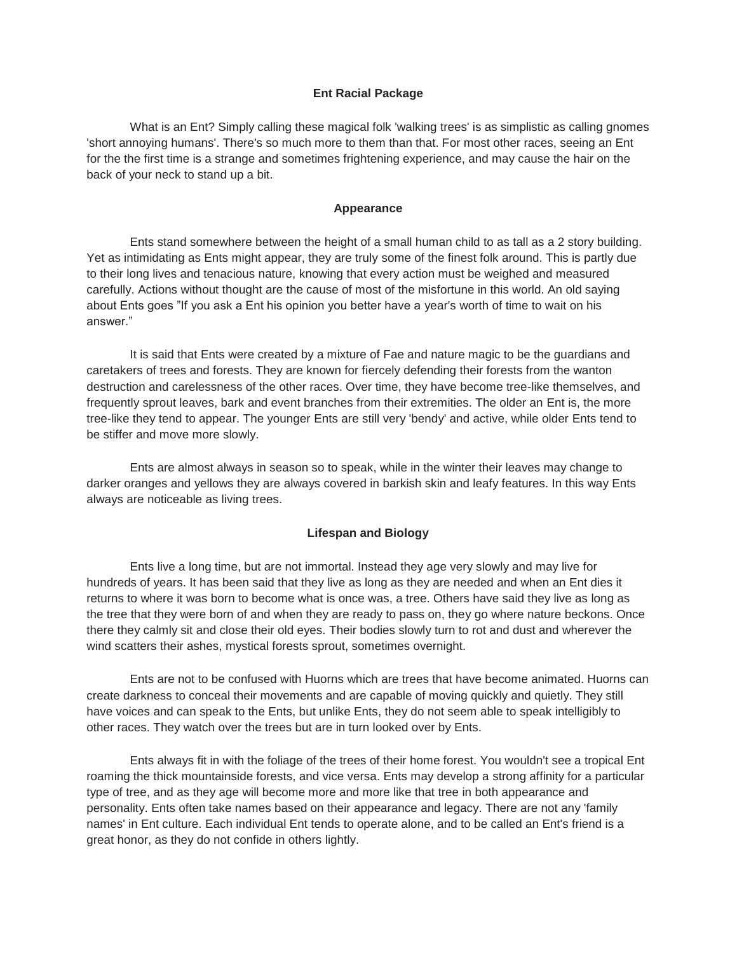# **Ent Racial Package**

What is an Ent? Simply calling these magical folk 'walking trees' is as simplistic as calling gnomes 'short annoying humans'. There's so much more to them than that. For most other races, seeing an Ent for the the first time is a strange and sometimes frightening experience, and may cause the hair on the back of your neck to stand up a bit.

### **Appearance**

Ents stand somewhere between the height of a small human child to as tall as a 2 story building. Yet as intimidating as Ents might appear, they are truly some of the finest folk around. This is partly due to their long lives and tenacious nature, knowing that every action must be weighed and measured carefully. Actions without thought are the cause of most of the misfortune in this world. An old saying about Ents goes "If you ask a Ent his opinion you better have a year's worth of time to wait on his answer."

It is said that Ents were created by a mixture of Fae and nature magic to be the guardians and caretakers of trees and forests. They are known for fiercely defending their forests from the wanton destruction and carelessness of the other races. Over time, they have become tree-like themselves, and frequently sprout leaves, bark and event branches from their extremities. The older an Ent is, the more tree-like they tend to appear. The younger Ents are still very 'bendy' and active, while older Ents tend to be stiffer and move more slowly.

Ents are almost always in season so to speak, while in the winter their leaves may change to darker oranges and yellows they are always covered in barkish skin and leafy features. In this way Ents always are noticeable as living trees.

## **Lifespan and Biology**

Ents live a long time, but are not immortal. Instead they age very slowly and may live for hundreds of years. It has been said that they live as long as they are needed and when an Ent dies it returns to where it was born to become what is once was, a tree. Others have said they live as long as the tree that they were born of and when they are ready to pass on, they go where nature beckons. Once there they calmly sit and close their old eyes. Their bodies slowly turn to rot and dust and wherever the wind scatters their ashes, mystical forests sprout, sometimes overnight.

Ents are not to be confused with Huorns which are trees that have become animated. Huorns can create darkness to conceal their movements and are capable of moving quickly and quietly. They still have voices and can speak to the Ents, but unlike Ents, they do not seem able to speak intelligibly to other races. They watch over the trees but are in turn looked over by Ents.

Ents always fit in with the foliage of the trees of their home forest. You wouldn't see a tropical Ent roaming the thick mountainside forests, and vice versa. Ents may develop a strong affinity for a particular type of tree, and as they age will become more and more like that tree in both appearance and personality. Ents often take names based on their appearance and legacy. There are not any 'family names' in Ent culture. Each individual Ent tends to operate alone, and to be called an Ent's friend is a great honor, as they do not confide in others lightly.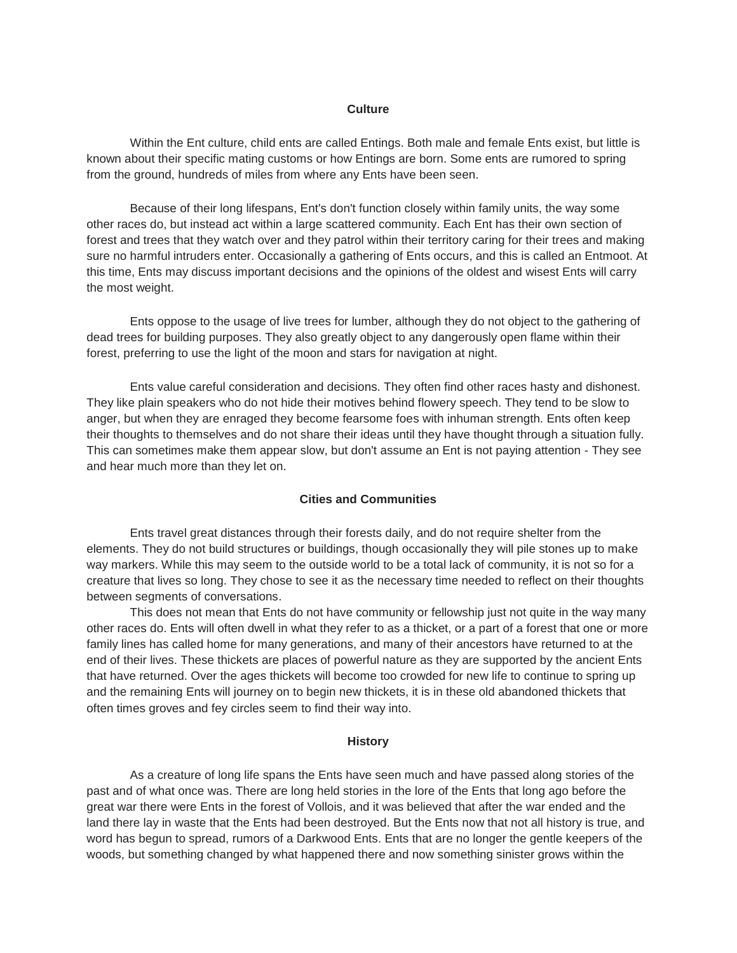#### **Culture**

Within the Ent culture, child ents are called Entings. Both male and female Ents exist, but little is known about their specific mating customs or how Entings are born. Some ents are rumored to spring from the ground, hundreds of miles from where any Ents have been seen.

Because of their long lifespans, Ent's don't function closely within family units, the way some other races do, but instead act within a large scattered community. Each Ent has their own section of forest and trees that they watch over and they patrol within their territory caring for their trees and making sure no harmful intruders enter. Occasionally a gathering of Ents occurs, and this is called an Entmoot. At this time, Ents may discuss important decisions and the opinions of the oldest and wisest Ents will carry the most weight.

Ents oppose to the usage of live trees for lumber, although they do not object to the gathering of dead trees for building purposes. They also greatly object to any dangerously open flame within their forest, preferring to use the light of the moon and stars for navigation at night.

Ents value careful consideration and decisions. They often find other races hasty and dishonest. They like plain speakers who do not hide their motives behind flowery speech. They tend to be slow to anger, but when they are enraged they become fearsome foes with inhuman strength. Ents often keep their thoughts to themselves and do not share their ideas until they have thought through a situation fully. This can sometimes make them appear slow, but don't assume an Ent is not paying attention - They see and hear much more than they let on.

#### **Cities and Communities**

Ents travel great distances through their forests daily, and do not require shelter from the elements. They do not build structures or buildings, though occasionally they will pile stones up to make way markers. While this may seem to the outside world to be a total lack of community, it is not so for a creature that lives so long. They chose to see it as the necessary time needed to reflect on their thoughts between segments of conversations.

This does not mean that Ents do not have community or fellowship just not quite in the way many other races do. Ents will often dwell in what they refer to as a thicket, or a part of a forest that one or more family lines has called home for many generations, and many of their ancestors have returned to at the end of their lives. These thickets are places of powerful nature as they are supported by the ancient Ents that have returned. Over the ages thickets will become too crowded for new life to continue to spring up and the remaining Ents will journey on to begin new thickets, it is in these old abandoned thickets that often times groves and fey circles seem to find their way into.

### **History**

As a creature of long life spans the Ents have seen much and have passed along stories of the past and of what once was. There are long held stories in the lore of the Ents that long ago before the great war there were Ents in the forest of Vollois, and it was believed that after the war ended and the land there lay in waste that the Ents had been destroyed. But the Ents now that not all history is true, and word has begun to spread, rumors of a Darkwood Ents. Ents that are no longer the gentle keepers of the woods, but something changed by what happened there and now something sinister grows within the